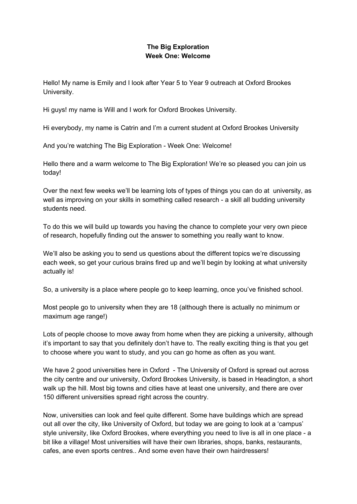## **The Big Exploration Week One: Welcome**

Hello! My name is Emily and I look after Year 5 to Year 9 outreach at Oxford Brookes University.

Hi guys! my name is Will and I work for Oxford Brookes University.

Hi everybody, my name is Catrin and I'm a current student at Oxford Brookes University

And you're watching The Big Exploration - Week One: Welcome!

Hello there and a warm welcome to The Big Exploration! We're so pleased you can join us today!

Over the next few weeks we'll be learning lots of types of things you can do at university, as well as improving on your skills in something called research - a skill all budding university students need.

To do this we will build up towards you having the chance to complete your very own piece of research, hopefully finding out the answer to something you really want to know.

We'll also be asking you to send us questions about the different topics we're discussing each week, so get your curious brains fired up and we'll begin by looking at what university actually is!

So, a university is a place where people go to keep learning, once you've finished school.

Most people go to university when they are 18 (although there is actually no minimum or maximum age range!)

Lots of people choose to move away from home when they are picking a university, although it's important to say that you definitely don't have to. The really exciting thing is that you get to choose where you want to study, and you can go home as often as you want.

We have 2 good universities here in Oxford - The University of Oxford is spread out across the city centre and our university, Oxford Brookes University, is based in Headington, a short walk up the hill. Most big towns and cities have at least one university, and there are over 150 different universities spread right across the country.

Now, universities can look and feel quite different. Some have buildings which are spread out all over the city, like University of Oxford, but today we are going to look at a 'campus' style university, like Oxford Brookes, where everything you need to live is all in one place - a bit like a village! Most universities will have their own libraries, shops, banks, restaurants, cafes, ane even sports centres.. And some even have their own hairdressers!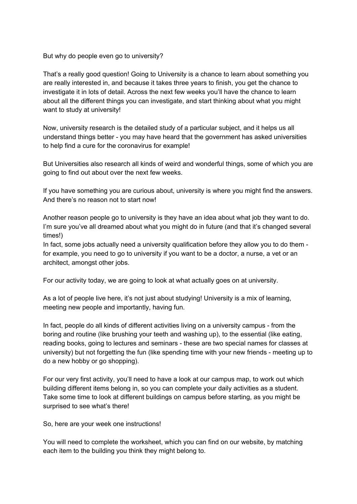But why do people even go to university?

That's a really good question! Going to University is a chance to learn about something you are really interested in, and because it takes three years to finish, you get the chance to investigate it in lots of detail. Across the next few weeks you'll have the chance to learn about all the different things you can investigate, and start thinking about what you might want to study at university!

Now, university research is the detailed study of a particular subject, and it helps us all understand things better - you may have heard that the government has asked universities to help find a cure for the coronavirus for example!

But Universities also research all kinds of weird and wonderful things, some of which you are going to find out about over the next few weeks.

If you have something you are curious about, university is where you might find the answers. And there's no reason not to start now!

Another reason people go to university is they have an idea about what job they want to do. I'm sure you've all dreamed about what you might do in future (and that it's changed several times!)

In fact, some jobs actually need a university qualification before they allow you to do them for example, you need to go to university if you want to be a doctor, a nurse, a vet or an architect, amongst other jobs.

For our activity today, we are going to look at what actually goes on at university.

As a lot of people live here, it's not just about studying! University is a mix of learning, meeting new people and importantly, having fun.

In fact, people do all kinds of different activities living on a university campus - from the boring and routine (like brushing your teeth and washing up), to the essential (like eating, reading books, going to lectures and seminars - these are two special names for classes at university) but not forgetting the fun (like spending time with your new friends - meeting up to do a new hobby or go shopping).

For our very first activity, you'll need to have a look at our campus map, to work out which building different items belong in, so you can complete your daily activities as a student. Take some time to look at different buildings on campus before starting, as you might be surprised to see what's there!

So, here are your week one instructions!

You will need to complete the worksheet, which you can find on our website, by matching each item to the building you think they might belong to.